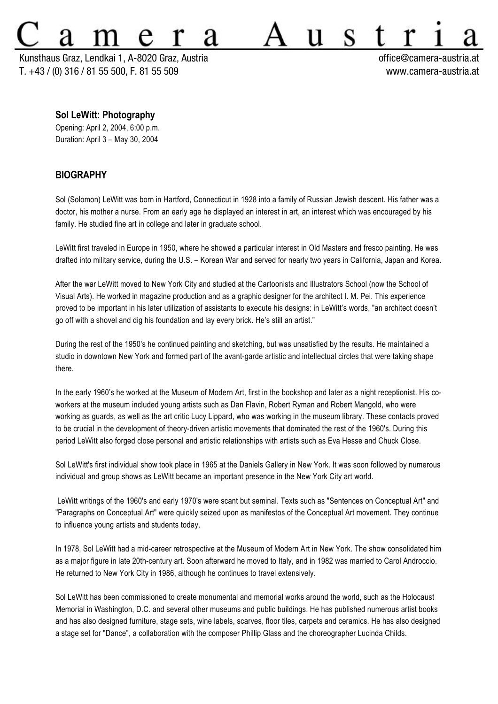Kunsthaus Graz, Lendkai 1, A-8020 Graz, Austria officeaen office@camera-austria.at T. +43 / (0) 316 / 81 55 500, F. 81 55 509 www.camera-austria.at

S

**Sol LeWitt: Photography**

Opening: April 2, 2004, 6:00 p.m. Duration: April 3 – May 30, 2004

## **BIOGRAPHY**

Sol (Solomon) LeWitt was born in Hartford, Connecticut in 1928 into a family of Russian Jewish descent. His father was a doctor, his mother a nurse. From an early age he displayed an interest in art, an interest which was encouraged by his family. He studied fine art in college and later in graduate school.

LeWitt first traveled in Europe in 1950, where he showed a particular interest in Old Masters and fresco painting. He was drafted into military service, during the U.S. – Korean War and served for nearly two years in California, Japan and Korea.

After the war LeWitt moved to New York City and studied at the Cartoonists and Illustrators School (now the School of Visual Arts). He worked in magazine production and as a graphic designer for the architect I. M. Pei. This experience proved to be important in his later utilization of assistants to execute his designs: in LeWitt's words, "an architect doesn't go off with a shovel and dig his foundation and lay every brick. He's still an artist."

During the rest of the 1950's he continued painting and sketching, but was unsatisfied by the results. He maintained a studio in downtown New York and formed part of the avant-garde artistic and intellectual circles that were taking shape there.

In the early 1960's he worked at the Museum of Modern Art, first in the bookshop and later as a night receptionist. His coworkers at the museum included young artists such as Dan Flavin, Robert Ryman and Robert Mangold, who were working as guards, as well as the art critic Lucy Lippard, who was working in the museum library. These contacts proved to be crucial in the development of theory-driven artistic movements that dominated the rest of the 1960's. During this period LeWitt also forged close personal and artistic relationships with artists such as Eva Hesse and Chuck Close.

Sol LeWitt's first individual show took place in 1965 at the Daniels Gallery in New York. It was soon followed by numerous individual and group shows as LeWitt became an important presence in the New York City art world.

 LeWitt writings of the 1960's and early 1970's were scant but seminal. Texts such as "Sentences on Conceptual Art" and "Paragraphs on Conceptual Art" were quickly seized upon as manifestos of the Conceptual Art movement. They continue to influence young artists and students today.

In 1978, Sol LeWitt had a mid-career retrospective at the Museum of Modern Art in New York. The show consolidated him as a major figure in late 20th-century art. Soon afterward he moved to Italy, and in 1982 was married to Carol Androccio. He returned to New York City in 1986, although he continues to travel extensively.

Sol LeWitt has been commissioned to create monumental and memorial works around the world, such as the Holocaust Memorial in Washington, D.C. and several other museums and public buildings. He has published numerous artist books and has also designed furniture, stage sets, wine labels, scarves, floor tiles, carpets and ceramics. He has also designed a stage set for "Dance", a collaboration with the composer Phillip Glass and the choreographer Lucinda Childs.